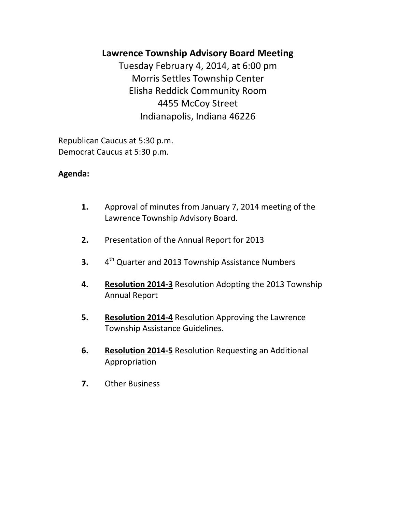# **Lawrence Township Advisory Board Meeting**

Tuesday February 4, 2014, at 6:00 pm Morris Settles Township Center Elisha Reddick Community Room 4455 McCoy Street Indianapolis, Indiana 46226

Republican Caucus at 5:30 p.m. Democrat Caucus at 5:30 p.m.

# **Agenda:**

- **1.** Approval of minutes from January 7, 2014 meeting of the Lawrence Township Advisory Board.
- **2.** Presentation of the Annual Report for 2013
- $3.$ 4<sup>th</sup> Quarter and 2013 Township Assistance Numbers
- **4. Resolution 2014-3** Resolution Adopting the 2013 Township Annual Report
- **5. Resolution 2014-4** Resolution Approving the Lawrence Township Assistance Guidelines.
- **6. Resolution 2014-5** Resolution Requesting an Additional Appropriation
- **7.** Other Business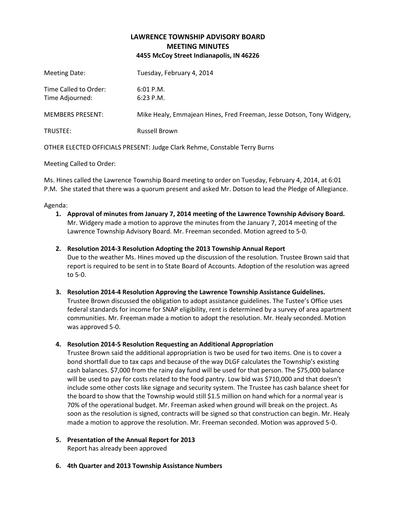## **LAWRENCE TOWNSHIP ADVISORY BOARD MEETING MINUTES 4455 McCoy Street Indianapolis, IN 46226**

| TRUSTEE:                                 | <b>Russell Brown</b>                                                  |
|------------------------------------------|-----------------------------------------------------------------------|
| <b>MEMBERS PRESENT:</b>                  | Mike Healy, Emmajean Hines, Fred Freeman, Jesse Dotson, Tony Widgery, |
| Time Called to Order:<br>Time Adjourned: | $6:01$ P.M.<br>$6:23$ P.M.                                            |
| Meeting Date:                            | Tuesday, February 4, 2014                                             |
|                                          |                                                                       |

OTHER ELECTED OFFICIALS PRESENT: Judge Clark Rehme, Constable Terry Burns

Meeting Called to Order:

Ms. Hines called the Lawrence Township Board meeting to order on Tuesday, February 4, 2014, at 6:01 P.M. She stated that there was a quorum present and asked Mr. Dotson to lead the Pledge of Allegiance.

#### Agenda:

**1. Approval of minutes from January 7, 2014 meeting of the Lawrence Township Advisory Board.** Mr. Widgery made a motion to approve the minutes from the January 7, 2014 meeting of the Lawrence Township Advisory Board. Mr. Freeman seconded. Motion agreed to 5-0.

### **2. Resolution 2014-3 Resolution Adopting the 2013 Township Annual Report**

Due to the weather Ms. Hines moved up the discussion of the resolution. Trustee Brown said that report is required to be sent in to State Board of Accounts. Adoption of the resolution was agreed to 5-0.

### **3. Resolution 2014-4 Resolution Approving the Lawrence Township Assistance Guidelines.**

Trustee Brown discussed the obligation to adopt assistance guidelines. The Tustee's Office uses federal standards for income for SNAP eligibility, rent is determined by a survey of area apartment communities. Mr. Freeman made a motion to adopt the resolution. Mr. Healy seconded. Motion was approved 5-0.

### **4. Resolution 2014-5 Resolution Requesting an Additional Appropriation**

Trustee Brown said the additional appropriation is two be used for two items. One is to cover a bond shortfall due to tax caps and because of the way DLGF calculates the Township's existing cash balances. \$7,000 from the rainy day fund will be used for that person. The \$75,000 balance will be used to pay for costs related to the food pantry. Low bid was \$710,000 and that doesn't include some other costs like signage and security system. The Trustee has cash balance sheet for the board to show that the Township would still \$1.5 million on hand which for a normal year is 70% of the operational budget. Mr. Freeman asked when ground will break on the project. As soon as the resolution is signed, contracts will be signed so that construction can begin. Mr. Healy made a motion to approve the resolution. Mr. Freeman seconded. Motion was approved 5-0.

**5. Presentation of the Annual Report for 2013**

Report has already been approved

**6. 4th Quarter and 2013 Township Assistance Numbers**